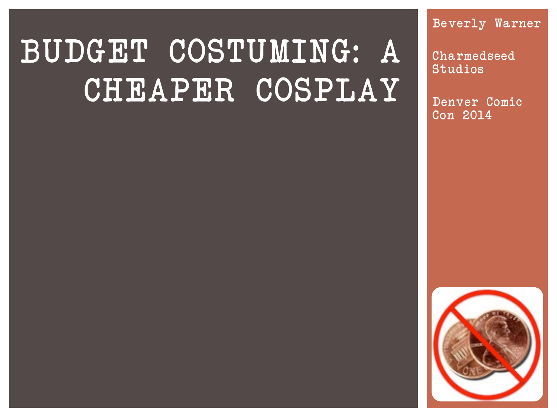# BUDGET COSTUMING: A CHEAPER COSPLAY

Beverly Warner

Charmedseed Studios

Denver Comic Con 2014

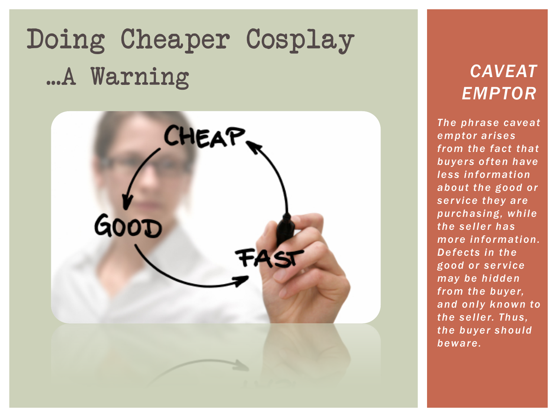# Doing Cheaper Cosplay ...A Warning



#### *CAVEAT EMPTOR*

*The phrase caveat emptor arises from the fact that buyers often have less information about the good or service they are purchasing, while the seller has more information. Defects in the good or service may be hidden from the buyer, and only known to the seller. Thus, the buyer should beware.*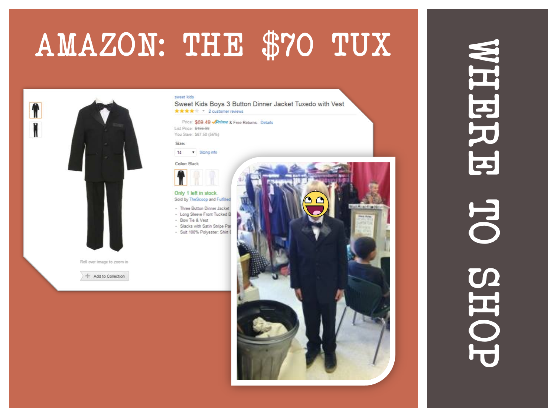# AMAZON: THE \$70 TUX



#### sweet kids

Sweet Kids Boys 3 Button Dinner Jacket Tuxedo with Vest \*\*\*\* 2 customer reviews

Price: \$69.49 Prime & Free Returns. Details List Price: \$456-99 You Save: \$87.50 (56%)

Size:

#### $14$ v Sizing info

Color: Black

Only 1 left in stock Sold by TheScoop and Fulfilled

- Three Button Dinner Jacket

- Long Sleeve Front Tucked B
- Bow Tie & Vest · Slacks with Satin Stripe Part
- · Suit 100% Polyester, Shirt 6
- 

+ Add to Collection



# WHERE OF SHOP WHERRE TOHS OL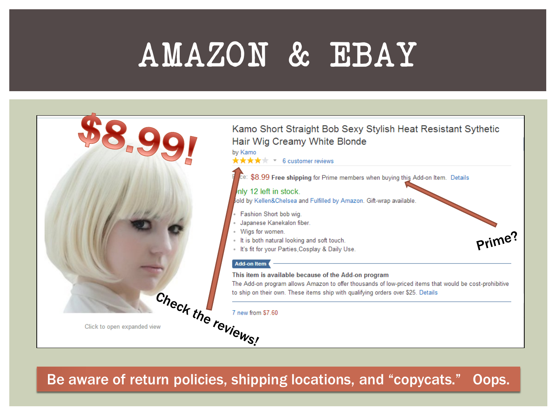# AMAZON & EBAY



Be aware of return policies, shipping locations, and "copycats." Oops.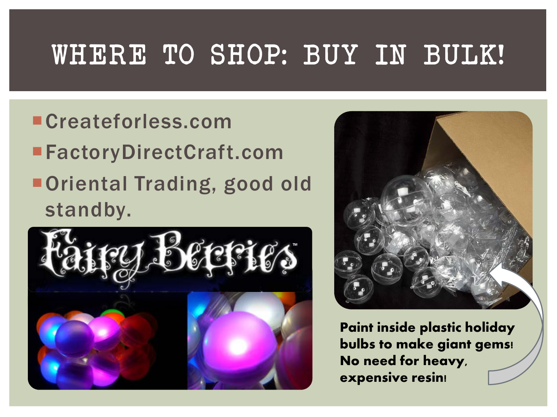## WHERE TO SHOP: BUY IN BULK!

Createforless.com ■FactoryDirectCraft.com ■ Oriental Trading, good old standby.





**Paint inside plastic holiday bulbs to make giant gems! No need for heavy, expensive resin!**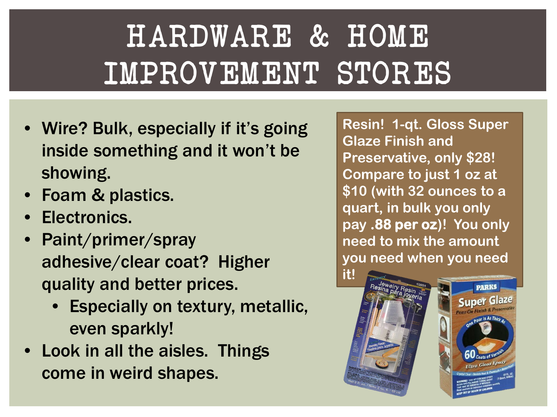# HARDWARE & HOME IMPROVEMENT STORES

- Wire? Bulk, especially if it's going inside something and it won't be showing.
- Foam & plastics.
- Electronics.
- Paint/primer/spray adhesive/clear coat? Higher quality and better prices.
	- Especially on textury, metallic, even sparkly!
- Look in all the aisles. Things come in weird shapes.

**Resin! 1-qt. Gloss Super Glaze Finish and Preservative, only \$28! Compare to just 1 oz at \$10 (with 32 ounces to a quart, in bulk you only pay .88 per oz)! You only need to mix the amount you need when you need** 

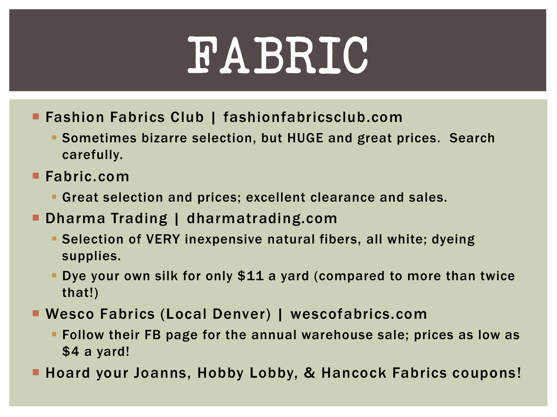# FABRIC

- **Fashion Fabrics Club | fashionfabricsclub.com** 
	- Sometimes bizarre selection, but HUGE and great prices. Search carefully.
- Fabric.com
	- Great selection and prices; excellent clearance and sales.
- Dharma Trading | dharmatrading.com
	- Selection of VERY inexpensive natural fibers, all white; dyeing supplies.
	- Dye your own silk for only \$11 a yard (compared to more than twice that!)
- Wesco Fabrics (Local Denver) | wescofabrics.com
	- Follow their FB page for the annual warehouse sale; prices as low as \$4 a yard!
- Hoard your Joanns, Hobby Lobby, & Hancock Fabrics coupons!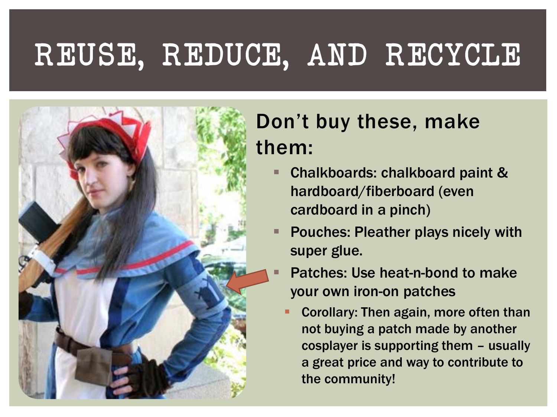# REUSE, REDUCE, AND RECYCLE



### Don't buy these, make them:

- Chalkboards: chalkboard paint & hardboard/fiberboard (even cardboard in a pinch)
- Pouches: Pleather plays nicely with super glue.
- Patches: Use heat-n-bond to make your own iron-on patches
	- Corollary: Then again, more often than not buying a patch made by another cosplayer is supporting them – usually a great price and way to contribute to the community!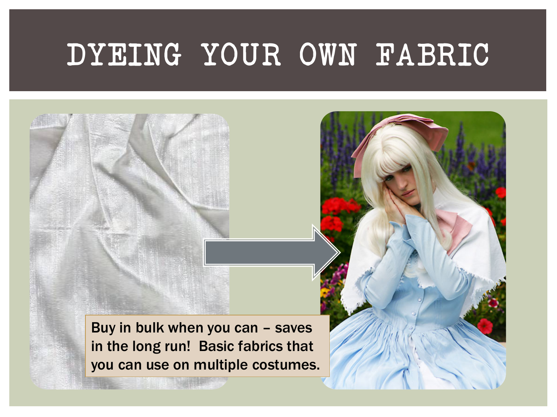## DYEING YOUR OWN FABRIC

Buy in bulk when you can – saves in the long run! Basic fabrics that you can use on multiple costumes.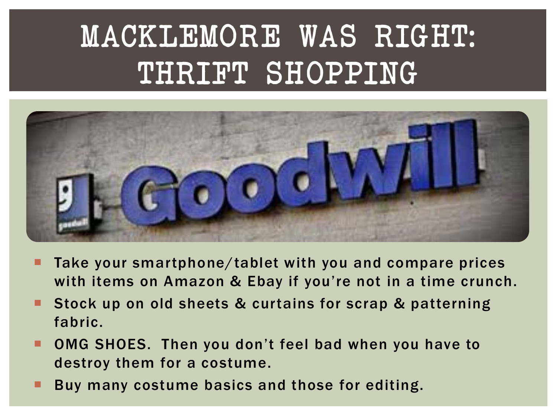# MACKLEMORE WAS RIGHT: THRIFT SHOPPING



- Take your smartphone/tablet with you and compare prices with items on Amazon & Ebay if you're not in a time crunch.
- **Stock up on old sheets & curtains for scrap & patterning** fabric.
- OMG SHOES. Then you don't feel bad when you have to destroy them for a costume.
- Buy many costume basics and those for editing.